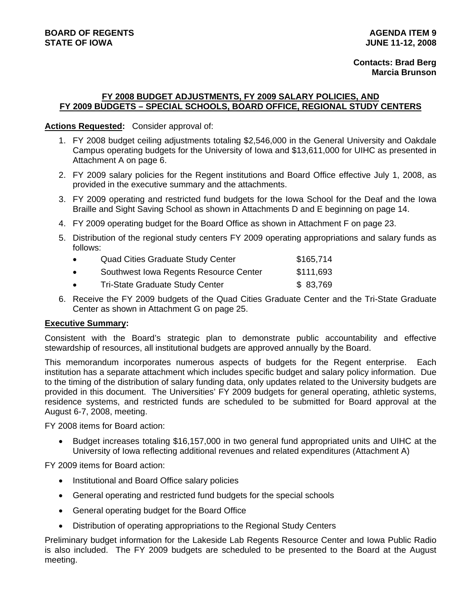## **FY 2008 BUDGET ADJUSTMENTS, FY 2009 SALARY POLICIES, AND FY 2009 BUDGETS – SPECIAL SCHOOLS, BOARD OFFICE, REGIONAL STUDY CENTERS**

## **Actions Requested:** Consider approval of:

- 1. FY 2008 budget ceiling adjustments totaling \$2,546,000 in the General University and Oakdale Campus operating budgets for the University of Iowa and \$13,611,000 for UIHC as presented in Attachment A on page 6.
- 2. FY 2009 salary policies for the Regent institutions and Board Office effective July 1, 2008, as provided in the executive summary and the attachments.
- 3. FY 2009 operating and restricted fund budgets for the Iowa School for the Deaf and the Iowa Braille and Sight Saving School as shown in Attachments D and E beginning on page 14.
- 4. FY 2009 operating budget for the Board Office as shown in Attachment F on page 23.
- 5. Distribution of the regional study centers FY 2009 operating appropriations and salary funds as follows:
	- Quad Cities Graduate Study Center **\$165,714**
	- Southwest Iowa Regents Resource Center \$111,693
	- Tri-State Graduate Study Center **\$ 83,769**
- 6. Receive the FY 2009 budgets of the Quad Cities Graduate Center and the Tri-State Graduate Center as shown in Attachment G on page 25.

## **Executive Summary:**

Consistent with the Board's strategic plan to demonstrate public accountability and effective stewardship of resources, all institutional budgets are approved annually by the Board.

This memorandum incorporates numerous aspects of budgets for the Regent enterprise. Each institution has a separate attachment which includes specific budget and salary policy information. Due to the timing of the distribution of salary funding data, only updates related to the University budgets are provided in this document. The Universities' FY 2009 budgets for general operating, athletic systems, residence systems, and restricted funds are scheduled to be submitted for Board approval at the August 6-7, 2008, meeting.

FY 2008 items for Board action:

• Budget increases totaling \$16,157,000 in two general fund appropriated units and UIHC at the University of Iowa reflecting additional revenues and related expenditures (Attachment A)

FY 2009 items for Board action:

- Institutional and Board Office salary policies
- General operating and restricted fund budgets for the special schools
- General operating budget for the Board Office
- Distribution of operating appropriations to the Regional Study Centers

Preliminary budget information for the Lakeside Lab Regents Resource Center and Iowa Public Radio is also included. The FY 2009 budgets are scheduled to be presented to the Board at the August meeting.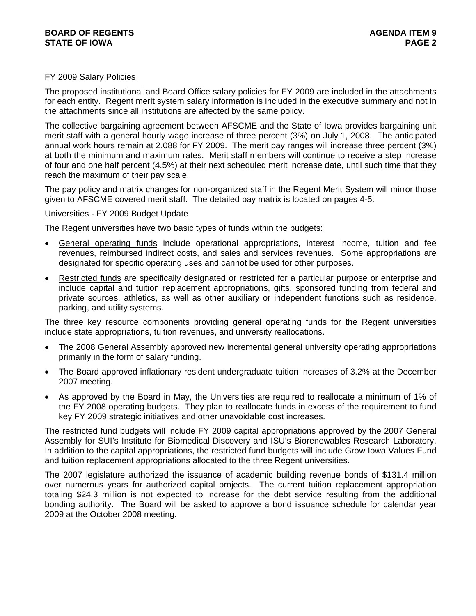### FY 2009 Salary Policies

The proposed institutional and Board Office salary policies for FY 2009 are included in the attachments for each entity. Regent merit system salary information is included in the executive summary and not in the attachments since all institutions are affected by the same policy.

The collective bargaining agreement between AFSCME and the State of Iowa provides bargaining unit merit staff with a general hourly wage increase of three percent (3%) on July 1, 2008. The anticipated annual work hours remain at 2,088 for FY 2009. The merit pay ranges will increase three percent (3%) at both the minimum and maximum rates. Merit staff members will continue to receive a step increase of four and one half percent (4.5%) at their next scheduled merit increase date, until such time that they reach the maximum of their pay scale.

The pay policy and matrix changes for non-organized staff in the Regent Merit System will mirror those given to AFSCME covered merit staff. The detailed pay matrix is located on pages 4-5.

#### Universities - FY 2009 Budget Update

The Regent universities have two basic types of funds within the budgets:

- General operating funds include operational appropriations, interest income, tuition and fee revenues, reimbursed indirect costs, and sales and services revenues. Some appropriations are designated for specific operating uses and cannot be used for other purposes.
- Restricted funds are specifically designated or restricted for a particular purpose or enterprise and include capital and tuition replacement appropriations, gifts, sponsored funding from federal and private sources, athletics, as well as other auxiliary or independent functions such as residence, parking, and utility systems.

The three key resource components providing general operating funds for the Regent universities include state appropriations, tuition revenues, and university reallocations.

- The 2008 General Assembly approved new incremental general university operating appropriations primarily in the form of salary funding.
- The Board approved inflationary resident undergraduate tuition increases of 3.2% at the December 2007 meeting.
- As approved by the Board in May, the Universities are required to reallocate a minimum of 1% of the FY 2008 operating budgets. They plan to reallocate funds in excess of the requirement to fund key FY 2009 strategic initiatives and other unavoidable cost increases.

The restricted fund budgets will include FY 2009 capital appropriations approved by the 2007 General Assembly for SUI's Institute for Biomedical Discovery and ISU's Biorenewables Research Laboratory. In addition to the capital appropriations, the restricted fund budgets will include Grow Iowa Values Fund and tuition replacement appropriations allocated to the three Regent universities.

The 2007 legislature authorized the issuance of academic building revenue bonds of \$131.4 million over numerous years for authorized capital projects. The current tuition replacement appropriation totaling \$24.3 million is not expected to increase for the debt service resulting from the additional bonding authority. The Board will be asked to approve a bond issuance schedule for calendar year 2009 at the October 2008 meeting.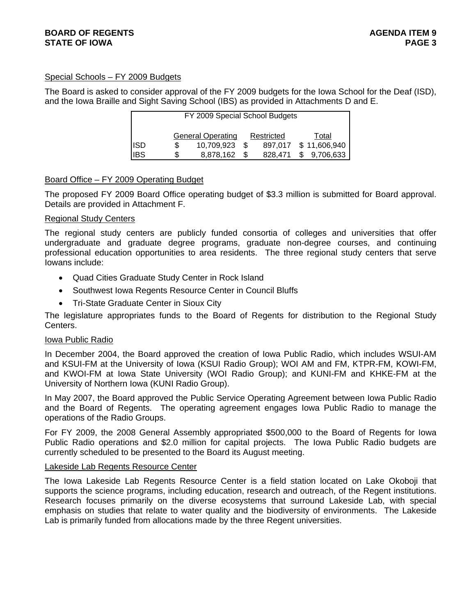## Special Schools – FY 2009 Budgets

The Board is asked to consider approval of the FY 2009 budgets for the Iowa School for the Deaf (ISD), and the Iowa Braille and Sight Saving School (IBS) as provided in Attachments D and E.

| FY 2009 Special School Budgets                  |    |            |  |         |    |              |
|-------------------------------------------------|----|------------|--|---------|----|--------------|
| <b>General Operating</b><br>Restricted<br>Total |    |            |  |         |    |              |
| <b>ISD</b>                                      |    | 10.709.923 |  | 897,017 |    | \$11,606,940 |
| <b>IBS</b>                                      | S. | 8,878,162  |  | 828,471 | \$ | 9,706,633    |

## Board Office – FY 2009 Operating Budget

The proposed FY 2009 Board Office operating budget of \$3.3 million is submitted for Board approval. Details are provided in Attachment F.

#### Regional Study Centers

The regional study centers are publicly funded consortia of colleges and universities that offer undergraduate and graduate degree programs, graduate non-degree courses, and continuing professional education opportunities to area residents. The three regional study centers that serve Iowans include:

- Quad Cities Graduate Study Center in Rock Island
- Southwest Iowa Regents Resource Center in Council Bluffs
- Tri-State Graduate Center in Sioux City

The legislature appropriates funds to the Board of Regents for distribution to the Regional Study Centers.

#### Iowa Public Radio

In December 2004, the Board approved the creation of Iowa Public Radio, which includes WSUI-AM and KSUI-FM at the University of Iowa (KSUI Radio Group); WOI AM and FM, KTPR-FM, KOWI-FM, and KWOI-FM at Iowa State University (WOI Radio Group); and KUNI-FM and KHKE-FM at the University of Northern Iowa (KUNI Radio Group).

In May 2007, the Board approved the Public Service Operating Agreement between Iowa Public Radio and the Board of Regents. The operating agreement engages Iowa Public Radio to manage the operations of the Radio Groups.

For FY 2009, the 2008 General Assembly appropriated \$500,000 to the Board of Regents for Iowa Public Radio operations and \$2.0 million for capital projects. The Iowa Public Radio budgets are currently scheduled to be presented to the Board its August meeting.

#### Lakeside Lab Regents Resource Center

The Iowa Lakeside Lab Regents Resource Center is a field station located on Lake Okoboji that supports the science programs, including education, research and outreach, of the Regent institutions. Research focuses primarily on the diverse ecosystems that surround Lakeside Lab, with special emphasis on studies that relate to water quality and the biodiversity of environments. The Lakeside Lab is primarily funded from allocations made by the three Regent universities.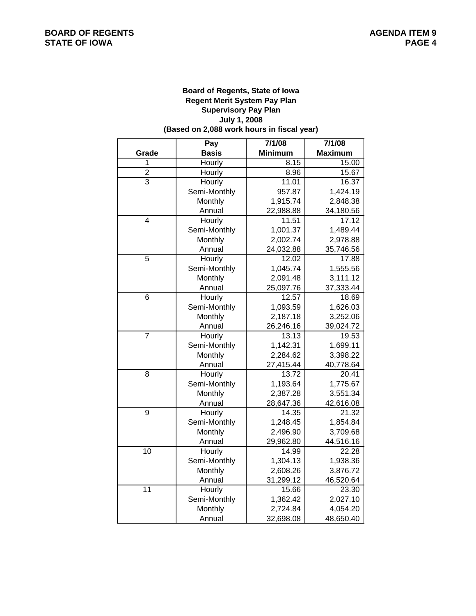#### **(Based on 2,088 work hours in fiscal year) Board of Regents, State of Iowa Regent Merit System Pay Plan July 1, 2008 Supervisory Pay Plan**

|                | Pay          | 7/1/08         | 7/1/08         |
|----------------|--------------|----------------|----------------|
| Grade          | <b>Basis</b> | <b>Minimum</b> | <b>Maximum</b> |
| 1              | Hourly       | 8.15           | 15.00          |
| $\overline{2}$ | Hourly       | 8.96           | 15.67          |
| $\overline{3}$ | Hourly       | 11.01          | 16.37          |
|                | Semi-Monthly | 957.87         | 1,424.19       |
|                | Monthly      | 1,915.74       | 2,848.38       |
|                | Annual       | 22,988.88      | 34,180.56      |
| $\overline{4}$ | Hourly       | 11.51          | 17.12          |
|                | Semi-Monthly | 1,001.37       | 1,489.44       |
|                | Monthly      | 2,002.74       | 2,978.88       |
|                | Annual       | 24,032.88      | 35,746.56      |
| 5              | Hourly       | 12.02          | 17.88          |
|                | Semi-Monthly | 1,045.74       | 1,555.56       |
|                | Monthly      | 2,091.48       | 3,111.12       |
|                | Annual       | 25,097.76      | 37,333.44      |
| 6              | Hourly       | 12.57          | 18.69          |
|                | Semi-Monthly | 1,093.59       | 1,626.03       |
|                | Monthly      | 2,187.18       | 3,252.06       |
|                | Annual       | 26,246.16      | 39,024.72      |
| $\overline{7}$ | Hourly       | 13.13          | 19.53          |
|                | Semi-Monthly | 1,142.31       | 1,699.11       |
|                | Monthly      | 2,284.62       | 3,398.22       |
|                | Annual       | 27,415.44      | 40,778.64      |
| $\overline{8}$ | Hourly       | 13.72          | 20.41          |
|                | Semi-Monthly | 1,193.64       | 1,775.67       |
|                | Monthly      | 2,387.28       | 3,551.34       |
|                | Annual       | 28,647.36      | 42,616.08      |
| 9              | Hourly       | 14.35          | 21.32          |
|                | Semi-Monthly | 1,248.45       | 1,854.84       |
|                | Monthly      | 2,496.90       | 3,709.68       |
|                | Annual       | 29,962.80      | 44,516.16      |
| 10             | Hourly       | 14.99          | 22.28          |
|                | Semi-Monthly | 1,304.13       | 1,938.36       |
|                | Monthly      | 2,608.26       | 3,876.72       |
|                | Annual       | 31,299.12      | 46,520.64      |
| 11             | Hourly       | 15.66          | 23.30          |
|                | Semi-Monthly | 1,362.42       | 2,027.10       |
|                | Monthly      | 2,724.84       | 4,054.20       |
|                | Annual       | 32,698.08      | 48,650.40      |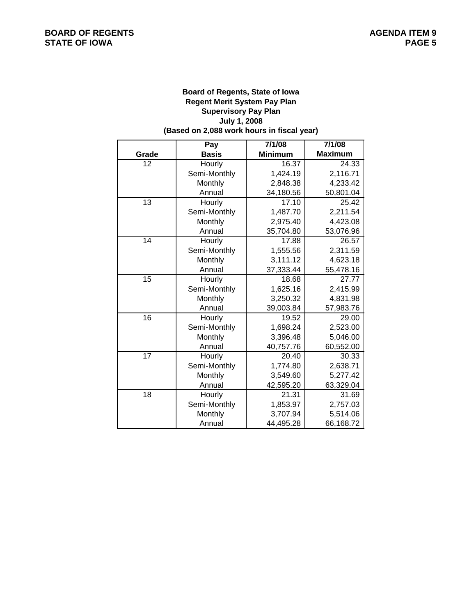#### **(Based on 2,088 work hours in fiscal year) Board of Regents, State of Iowa Regent Merit System Pay Plan July 1, 2008 Supervisory Pay Plan**

|                 | Pay          | 7/1/08         | 7/1/08         |
|-----------------|--------------|----------------|----------------|
| Grade           | <b>Basis</b> | <b>Minimum</b> | <b>Maximum</b> |
| 12              | Hourly       | 16.37          | 24.33          |
|                 | Semi-Monthly | 1,424.19       | 2,116.71       |
|                 | Monthly      | 2,848.38       | 4,233.42       |
|                 | Annual       | 34,180.56      | 50,801.04      |
| 13              | Hourly       | 17.10          | 25.42          |
|                 | Semi-Monthly | 1,487.70       | 2,211.54       |
|                 | Monthly      | 2,975.40       | 4,423.08       |
|                 | Annual       | 35,704.80      | 53,076.96      |
| 14              | Hourly       | 17.88          | 26.57          |
|                 | Semi-Monthly | 1,555.56       | 2,311.59       |
|                 | Monthly      | 3,111.12       | 4,623.18       |
|                 | Annual       | 37,333.44      | 55,478.16      |
| 15              | Hourly       | 18.68          | 27.77          |
|                 | Semi-Monthly | 1,625.16       | 2,415.99       |
|                 | Monthly      | 3,250.32       | 4,831.98       |
|                 | Annual       | 39,003.84      | 57,983.76      |
| $\overline{16}$ | Hourly       | 19.52          | 29.00          |
|                 | Semi-Monthly | 1,698.24       | 2,523.00       |
|                 | Monthly      | 3,396.48       | 5,046.00       |
|                 | Annual       | 40,757.76      | 60,552.00      |
| 17              | Hourly       | 20.40          | 30.33          |
|                 | Semi-Monthly | 1,774.80       | 2,638.71       |
|                 | Monthly      | 3,549.60       | 5,277.42       |
|                 | Annual       | 42,595.20      | 63,329.04      |
| 18              | Hourly       | 21.31          | 31.69          |
|                 | Semi-Monthly | 1,853.97       | 2,757.03       |
|                 | Monthly      | 3,707.94       | 5,514.06       |
|                 | Annual       | 44,495.28      | 66,168.72      |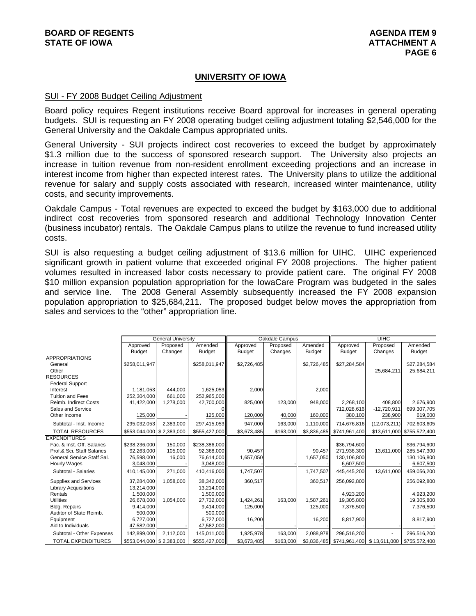## **UNIVERSITY OF IOWA**

#### SUI - FY 2008 Budget Ceiling Adjustment

Board policy requires Regent institutions receive Board approval for increases in general operating budgets. SUI is requesting an FY 2008 operating budget ceiling adjustment totaling \$2,546,000 for the General University and the Oakdale Campus appropriated units.

General University - SUI projects indirect cost recoveries to exceed the budget by approximately \$1.3 million due to the success of sponsored research support. The University also projects an increase in tuition revenue from non-resident enrollment exceeding projections and an increase in interest income from higher than expected interest rates. The University plans to utilize the additional revenue for salary and supply costs associated with research, increased winter maintenance, utility costs, and security improvements.

Oakdale Campus - Total revenues are expected to exceed the budget by \$163,000 due to additional indirect cost recoveries from sponsored research and additional Technology Innovation Center (business incubator) rentals. The Oakdale Campus plans to utilize the revenue to fund increased utility costs.

SUI is also requesting a budget ceiling adjustment of \$13.6 million for UIHC. UIHC experienced significant growth in patient volume that exceeded original FY 2008 projections. The higher patient volumes resulted in increased labor costs necessary to provide patient care. The original FY 2008 \$10 million expansion population appropriation for the IowaCare Program was budgeted in the sales and service line. The 2008 General Assembly subsequently increased the FY 2008 expansion population appropriation to \$25,684,211. The proposed budget below moves the appropriation from sales and services to the "other" appropriation line.

|                              |                           | <b>General University</b> |               |               | Oakdale Campus |               |               | UIHC          |                            |
|------------------------------|---------------------------|---------------------------|---------------|---------------|----------------|---------------|---------------|---------------|----------------------------|
|                              | Approved                  | Proposed                  | Amended       | Approved      | Proposed       | Amended       | Approved      | Proposed      | Amended                    |
|                              | <b>Budget</b>             | Changes                   | <b>Budget</b> | <b>Budget</b> | Changes        | <b>Budget</b> | <b>Budget</b> | Changes       | <b>Budget</b>              |
| <b>APPROPRIATIONS</b>        |                           |                           |               |               |                |               |               |               |                            |
| General                      | \$258.011.947             |                           | \$258.011.947 | \$2,726,485   |                | \$2,726,485   | \$27.284.584  |               | \$27,284,584               |
| Other                        |                           |                           |               |               |                |               |               | 25,684,211    | 25,684,211                 |
| <b>RESOURCES</b>             |                           |                           |               |               |                |               |               |               |                            |
| <b>Federal Support</b>       |                           |                           |               |               |                |               |               |               |                            |
| Interest                     | 1.181.053                 | 444.000                   | 1.625.053     | 2,000         |                | 2,000         |               |               |                            |
| <b>Tuition and Fees</b>      | 252,304,000               | 661.000                   | 252,965,000   |               |                |               |               |               |                            |
| <b>Reimb. Indirect Costs</b> | 41,422,000                | 1,278,000                 | 42,700,000    | 825,000       | 123,000        | 948,000       | 2.268.100     | 408.800       | 2,676,900                  |
| Sales and Service            |                           |                           |               |               |                |               | 712,028,616   | $-12,720,911$ | 699,307,705                |
| Other Income                 | 125,000                   |                           | 125,000       | 120,000       | 40,000         | 160,000       | 380,100       | 238,900       | 619,000                    |
| Subtotal - Inst. Income      | 295,032,053               | 2,383,000                 | 297,415,053   | 947,000       | 163,000        | 1,110,000     | 714,676,816   | (12,073,211)  | 702,603,605                |
| <b>TOTAL RESOURCES</b>       | \$553,044,000 \$2,383,000 |                           | \$555,427,000 | \$3,673,485   | \$163,000      | \$3,836,485   | \$741,961,400 |               | \$13,611,000 \$755,572,400 |
| <b>EXPENDITURES</b>          |                           |                           |               |               |                |               |               |               |                            |
| Fac. & Inst. Off. Salaries   | \$238,236,000             | 150,000                   | \$238,386,000 |               |                |               | \$36,794,600  |               | \$36,794,600               |
| Prof.& Sci. Staff Salaries   | 92.263.000                | 105,000                   | 92,368,000    | 90.457        |                | 90.457        | 271,936,300   | 13,611,000    | 285,547,300                |
| General Service Staff Sal.   | 76,598,000                | 16,000                    | 76,614,000    | 1,657,050     |                | 1,657,050     | 130,106,800   |               | 130,106,800                |
| <b>Hourly Wages</b>          | 3,048,000                 |                           | 3,048,000     |               |                |               | 6,607,500     |               | 6,607,500                  |
| Subtotal - Salaries          | 410.145.000               | 271.000                   | 410,416,000   | 1,747,507     |                | 1,747,507     | 445,445,200   | 13.611.000    | 459,056,200                |
| Supplies and Services        | 37,284,000                | 1,058,000                 | 38.342.000    | 360,517       |                | 360,517       | 256,092,800   |               | 256,092,800                |
| <b>Library Acquisitions</b>  | 13,214,000                |                           | 13,214,000    |               |                |               |               |               |                            |
| Rentals                      | 1,500,000                 |                           | 1,500,000     |               |                |               | 4,923,200     |               | 4,923,200                  |
| <b>Utilities</b>             | 26,678,000                | 1,054,000                 | 27,732,000    | 1,424,261     | 163,000        | 1,587,261     | 19,305,800    |               | 19,305,800                 |
| <b>Bldg. Repairs</b>         | 9,414,000                 |                           | 9,414,000     | 125,000       |                | 125,000       | 7,376,500     |               | 7,376,500                  |
| Auditor of State Reimb.      | 500,000                   |                           | 500,000       |               |                |               |               |               |                            |
| Equipment                    | 6,727,000                 |                           | 6.727.000     | 16,200        |                | 16.200        | 8.817.900     |               | 8,817,900                  |
| Aid to Individuals           | 47,582,000                |                           | 47,582,000    |               |                |               |               |               |                            |
| Subtotal - Other Expenses    | 142,899,000               | 2,112,000                 | 145,011,000   | 1,925,978     | 163,000        | 2,088,978     | 296,516,200   |               | 296,516,200                |
| <b>TOTAL EXPENDITURES</b>    | \$553,044,000 \$2,383,000 |                           | \$555,427,000 | \$3,673,485   | \$163,000      | \$3,836,485   | \$741,961,400 | \$13,611,000  | \$755,572,400              |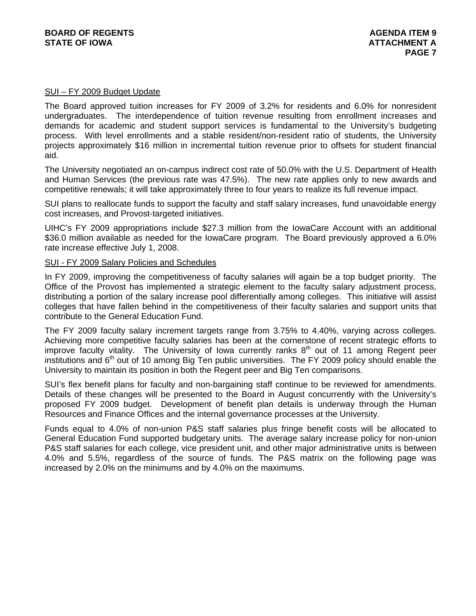#### SUI – FY 2009 Budget Update

The Board approved tuition increases for FY 2009 of 3.2% for residents and 6.0% for nonresident undergraduates. The interdependence of tuition revenue resulting from enrollment increases and demands for academic and student support services is fundamental to the University's budgeting process. With level enrollments and a stable resident/non-resident ratio of students, the University projects approximately \$16 million in incremental tuition revenue prior to offsets for student financial aid.

The University negotiated an on-campus indirect cost rate of 50.0% with the U.S. Department of Health and Human Services (the previous rate was 47.5%). The new rate applies only to new awards and competitive renewals; it will take approximately three to four years to realize its full revenue impact.

SUI plans to reallocate funds to support the faculty and staff salary increases, fund unavoidable energy cost increases, and Provost-targeted initiatives.

UIHC's FY 2009 appropriations include \$27.3 million from the IowaCare Account with an additional \$36.0 million available as needed for the IowaCare program. The Board previously approved a 6.0% rate increase effective July 1, 2008.

#### SUI - FY 2009 Salary Policies and Schedules

In FY 2009, improving the competitiveness of faculty salaries will again be a top budget priority. The Office of the Provost has implemented a strategic element to the faculty salary adjustment process, distributing a portion of the salary increase pool differentially among colleges. This initiative will assist colleges that have fallen behind in the competitiveness of their faculty salaries and support units that contribute to the General Education Fund.

The FY 2009 faculty salary increment targets range from 3.75% to 4.40%, varying across colleges. Achieving more competitive faculty salaries has been at the cornerstone of recent strategic efforts to improve faculty vitality. The University of Iowa currently ranks  $8<sup>th</sup>$  out of 11 among Regent peer institutions and  $6<sup>th</sup>$  out of 10 among Big Ten public universities. The FY 2009 policy should enable the University to maintain its position in both the Regent peer and Big Ten comparisons.

SUI's flex benefit plans for faculty and non-bargaining staff continue to be reviewed for amendments. Details of these changes will be presented to the Board in August concurrently with the University's proposed FY 2009 budget. Development of benefit plan details is underway through the Human Resources and Finance Offices and the internal governance processes at the University.

Funds equal to 4.0% of non-union P&S staff salaries plus fringe benefit costs will be allocated to General Education Fund supported budgetary units. The average salary increase policy for non-union P&S staff salaries for each college, vice president unit, and other major administrative units is between 4.0% and 5.5%, regardless of the source of funds. The P&S matrix on the following page was increased by 2.0% on the minimums and by 4.0% on the maximums.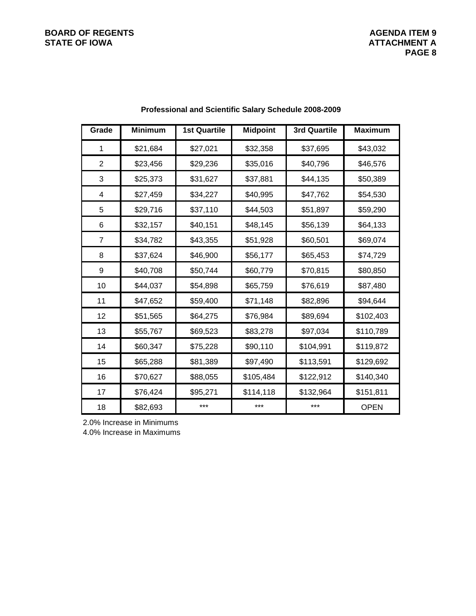# **BOARD OF REGENTS**<br> **BOARD OF REGENTS**<br> **STATE OF IOWA**<br> **ATTACHMENT A**

| Grade          | <b>Minimum</b> | <b>1st Quartile</b> | <b>Midpoint</b> | <b>3rd Quartile</b> | <b>Maximum</b> |
|----------------|----------------|---------------------|-----------------|---------------------|----------------|
| 1              | \$21,684       | \$27,021            | \$32,358        | \$37,695            | \$43,032       |
| $\overline{2}$ | \$23,456       | \$29,236            | \$35,016        | \$40,796            | \$46,576       |
| 3              | \$25,373       | \$31,627            | \$37,881        | \$44,135            | \$50,389       |
| 4              | \$27,459       | \$34,227            | \$40,995        | \$47,762            | \$54,530       |
| 5              | \$29,716       | \$37,110            | \$44,503        | \$51,897            | \$59,290       |
| 6              | \$32,157       | \$40,151            | \$48,145        | \$56,139            | \$64,133       |
| 7              | \$34,782       | \$43,355            | \$51,928        | \$60,501            | \$69,074       |
| 8              | \$37,624       | \$46,900            | \$56,177        | \$65,453            | \$74,729       |
| 9              | \$40,708       | \$50,744            | \$60,779        | \$70,815            | \$80,850       |
| 10             | \$44,037       | \$54,898            | \$65,759        | \$76,619            | \$87,480       |
| 11             | \$47,652       | \$59,400            | \$71,148        | \$82,896            | \$94,644       |
| 12             | \$51,565       | \$64,275            | \$76,984        | \$89,694            | \$102,403      |
| 13             | \$55,767       | \$69,523            | \$83,278        | \$97,034            | \$110,789      |
| 14             | \$60,347       | \$75,228            | \$90,110        | \$104,991           | \$119,872      |
| 15             | \$65,288       | \$81,389            | \$97,490        | \$113,591           | \$129,692      |
| 16             | \$70,627       | \$88,055            | \$105,484       | \$122,912           | \$140,340      |
| 17             | \$76,424       | \$95,271            | \$114,118       | \$132,964           | \$151,811      |
| 18             | \$82,693       | ***                 | ***             | ***                 | <b>OPEN</b>    |

## **Professional and Scientific Salary Schedule 2008-2009**

2.0% Increase in Minimums

4.0% Increase in Maximums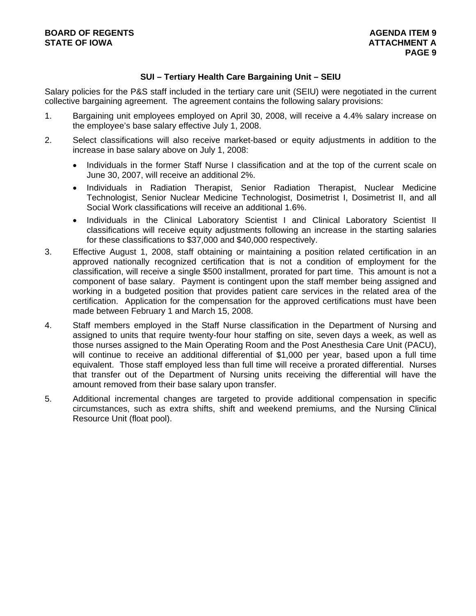## **SUI – Tertiary Health Care Bargaining Unit – SEIU**

Salary policies for the P&S staff included in the tertiary care unit (SEIU) were negotiated in the current collective bargaining agreement. The agreement contains the following salary provisions:

- 1. Bargaining unit employees employed on April 30, 2008, will receive a 4.4% salary increase on the employee's base salary effective July 1, 2008.
- 2. Select classifications will also receive market-based or equity adjustments in addition to the increase in base salary above on July 1, 2008:
	- Individuals in the former Staff Nurse I classification and at the top of the current scale on June 30, 2007, will receive an additional 2%.
	- Individuals in Radiation Therapist, Senior Radiation Therapist, Nuclear Medicine Technologist, Senior Nuclear Medicine Technologist, Dosimetrist I, Dosimetrist II, and all Social Work classifications will receive an additional 1.6%.
	- Individuals in the Clinical Laboratory Scientist I and Clinical Laboratory Scientist II classifications will receive equity adjustments following an increase in the starting salaries for these classifications to \$37,000 and \$40,000 respectively.
- 3. Effective August 1, 2008, staff obtaining or maintaining a position related certification in an approved nationally recognized certification that is not a condition of employment for the classification, will receive a single \$500 installment, prorated for part time. This amount is not a component of base salary. Payment is contingent upon the staff member being assigned and working in a budgeted position that provides patient care services in the related area of the certification. Application for the compensation for the approved certifications must have been made between February 1 and March 15, 2008.
- 4. Staff members employed in the Staff Nurse classification in the Department of Nursing and assigned to units that require twenty-four hour staffing on site, seven days a week, as well as those nurses assigned to the Main Operating Room and the Post Anesthesia Care Unit (PACU), will continue to receive an additional differential of \$1,000 per year, based upon a full time equivalent. Those staff employed less than full time will receive a prorated differential. Nurses that transfer out of the Department of Nursing units receiving the differential will have the amount removed from their base salary upon transfer.
- 5. Additional incremental changes are targeted to provide additional compensation in specific circumstances, such as extra shifts, shift and weekend premiums, and the Nursing Clinical Resource Unit (float pool).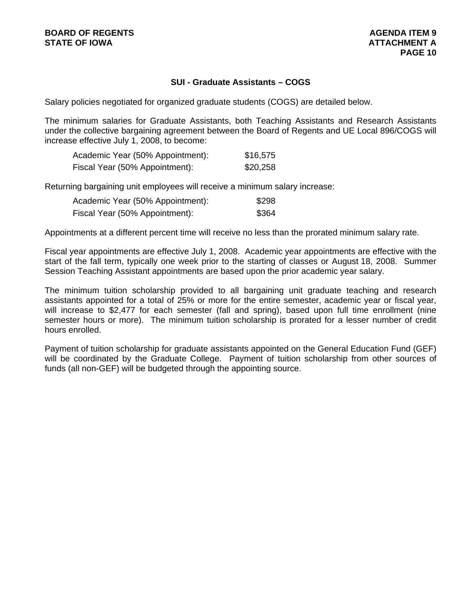## **SUI - Graduate Assistants – COGS**

Salary policies negotiated for organized graduate students (COGS) are detailed below.

The minimum salaries for Graduate Assistants, both Teaching Assistants and Research Assistants under the collective bargaining agreement between the Board of Regents and UE Local 896/COGS will increase effective July 1, 2008, to become:

| Academic Year (50% Appointment): | \$16,575 |
|----------------------------------|----------|
| Fiscal Year (50% Appointment):   | \$20,258 |

Returning bargaining unit employees will receive a minimum salary increase:

| Academic Year (50% Appointment): | \$298 |
|----------------------------------|-------|
| Fiscal Year (50% Appointment):   | \$364 |

Appointments at a different percent time will receive no less than the prorated minimum salary rate.

Fiscal year appointments are effective July 1, 2008. Academic year appointments are effective with the start of the fall term, typically one week prior to the starting of classes or August 18, 2008. Summer Session Teaching Assistant appointments are based upon the prior academic year salary.

The minimum tuition scholarship provided to all bargaining unit graduate teaching and research assistants appointed for a total of 25% or more for the entire semester, academic year or fiscal year, will increase to \$2,477 for each semester (fall and spring), based upon full time enrollment (nine semester hours or more). The minimum tuition scholarship is prorated for a lesser number of credit hours enrolled.

Payment of tuition scholarship for graduate assistants appointed on the General Education Fund (GEF) will be coordinated by the Graduate College. Payment of tuition scholarship from other sources of funds (all non-GEF) will be budgeted through the appointing source.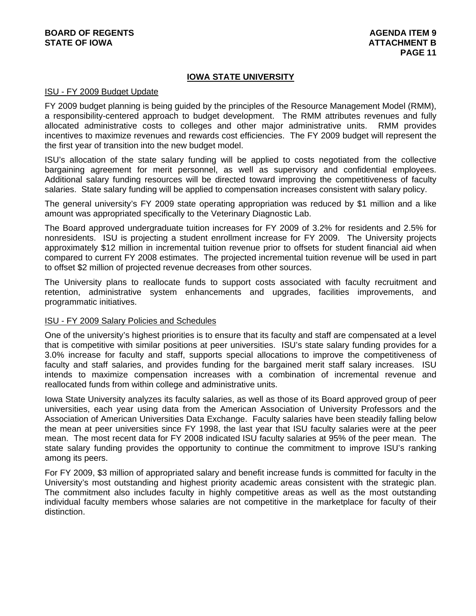## **IOWA STATE UNIVERSITY**

#### ISU - FY 2009 Budget Update

FY 2009 budget planning is being guided by the principles of the Resource Management Model (RMM), a responsibility-centered approach to budget development. The RMM attributes revenues and fully allocated administrative costs to colleges and other major administrative units. RMM provides incentives to maximize revenues and rewards cost efficiencies. The FY 2009 budget will represent the the first year of transition into the new budget model.

ISU's allocation of the state salary funding will be applied to costs negotiated from the collective bargaining agreement for merit personnel, as well as supervisory and confidential employees. Additional salary funding resources will be directed toward improving the competitiveness of faculty salaries. State salary funding will be applied to compensation increases consistent with salary policy.

The general university's FY 2009 state operating appropriation was reduced by \$1 million and a like amount was appropriated specifically to the Veterinary Diagnostic Lab.

The Board approved undergraduate tuition increases for FY 2009 of 3.2% for residents and 2.5% for nonresidents. ISU is projecting a student enrollment increase for FY 2009. The University projects approximately \$12 million in incremental tuition revenue prior to offsets for student financial aid when compared to current FY 2008 estimates. The projected incremental tuition revenue will be used in part to offset \$2 million of projected revenue decreases from other sources.

The University plans to reallocate funds to support costs associated with faculty recruitment and retention, administrative system enhancements and upgrades, facilities improvements, and programmatic initiatives.

#### ISU - FY 2009 Salary Policies and Schedules

One of the university's highest priorities is to ensure that its faculty and staff are compensated at a level that is competitive with similar positions at peer universities. ISU's state salary funding provides for a 3.0% increase for faculty and staff, supports special allocations to improve the competitiveness of faculty and staff salaries, and provides funding for the bargained merit staff salary increases. ISU intends to maximize compensation increases with a combination of incremental revenue and reallocated funds from within college and administrative units.

Iowa State University analyzes its faculty salaries, as well as those of its Board approved group of peer universities, each year using data from the American Association of University Professors and the Association of American Universities Data Exchange. Faculty salaries have been steadily falling below the mean at peer universities since FY 1998, the last year that ISU faculty salaries were at the peer mean. The most recent data for FY 2008 indicated ISU faculty salaries at 95% of the peer mean. The state salary funding provides the opportunity to continue the commitment to improve ISU's ranking among its peers.

For FY 2009, \$3 million of appropriated salary and benefit increase funds is committed for faculty in the University's most outstanding and highest priority academic areas consistent with the strategic plan. The commitment also includes faculty in highly competitive areas as well as the most outstanding individual faculty members whose salaries are not competitive in the marketplace for faculty of their distinction.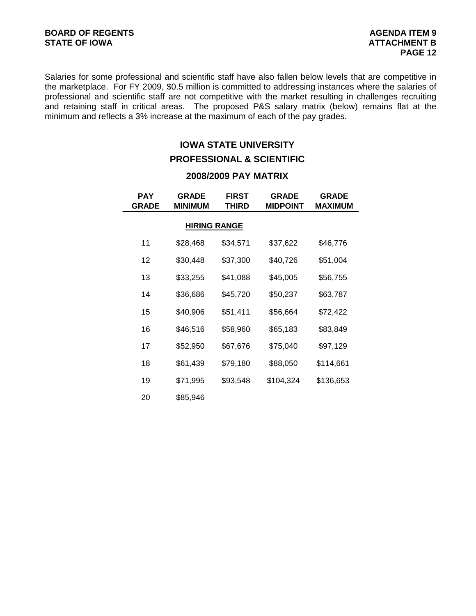Salaries for some professional and scientific staff have also fallen below levels that are competitive in the marketplace. For FY 2009, \$0.5 million is committed to addressing instances where the salaries of professional and scientific staff are not competitive with the market resulting in challenges recruiting and retaining staff in critical areas. The proposed P&S salary matrix (below) remains flat at the minimum and reflects a 3% increase at the maximum of each of the pay grades.

## **IOWA STATE UNIVERSITY**

## **PROFESSIONAL & SCIENTIFIC**

## **2008/2009 PAY MATRIX**

| <b>PAY</b><br><b>GRADE</b> | <b>GRADE</b><br><b>MINIMUM</b> | <b>FIRST</b><br>THIRD | <b>GRADE</b><br><b>MIDPOINT</b> | <b>GRADE</b><br><b>MAXIMUM</b> |
|----------------------------|--------------------------------|-----------------------|---------------------------------|--------------------------------|
|                            | <b>HIRING RANGE</b>            |                       |                                 |                                |
| 11                         | \$28,468                       | \$34,571              | \$37,622                        | \$46,776                       |
| 12                         | \$30,448                       | \$37,300              | \$40,726                        | \$51,004                       |
| 13                         | \$33,255                       | \$41,088              | \$45,005                        | \$56,755                       |
| 14                         | \$36,686                       | \$45,720              | \$50,237                        | \$63,787                       |
| 15                         | \$40,906                       | \$51,411              | \$56,664                        | \$72,422                       |
| 16                         | \$46,516                       | \$58,960              | \$65,183                        | \$83,849                       |
| 17                         | \$52,950                       | \$67,676              | \$75,040                        | \$97,129                       |
| 18                         | \$61,439                       | \$79,180              | \$88,050                        | \$114,661                      |
| 19                         | \$71,995                       | \$93,548              | \$104,324                       | \$136,653                      |
| 20                         | \$85,946                       |                       |                                 |                                |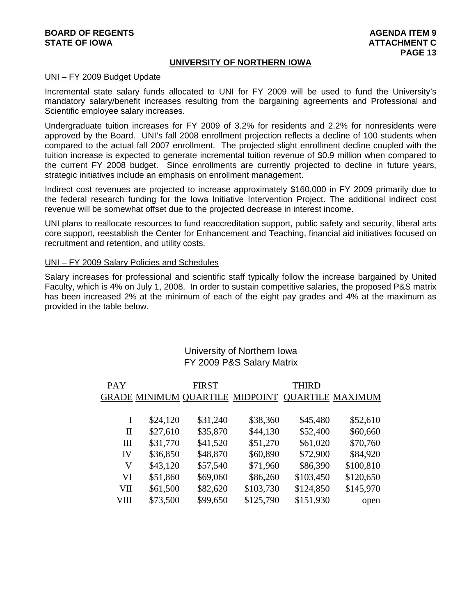### **BOARD OF REGENTS** AGENERATION OF REGENTS AGENERATION OF REGENTS AGENERATION OF REGENTS AGENERATION OF REGENTS AGENERATION OF REGENTS AGENERATION OF REGENTS AGENERATION OF REGENTS AGENERATION OF REGENTS AGENERATION OF REGE **STATE OF IOWA ATTACHMENT C**

#### **UNIVERSITY OF NORTHERN IOWA**

#### UNI – FY 2009 Budget Update

Incremental state salary funds allocated to UNI for FY 2009 will be used to fund the University's mandatory salary/benefit increases resulting from the bargaining agreements and Professional and Scientific employee salary increases.

Undergraduate tuition increases for FY 2009 of 3.2% for residents and 2.2% for nonresidents were approved by the Board. UNI's fall 2008 enrollment projection reflects a decline of 100 students when compared to the actual fall 2007 enrollment. The projected slight enrollment decline coupled with the tuition increase is expected to generate incremental tuition revenue of \$0.9 million when compared to the current FY 2008 budget. Since enrollments are currently projected to decline in future years, strategic initiatives include an emphasis on enrollment management.

Indirect cost revenues are projected to increase approximately \$160,000 in FY 2009 primarily due to the federal research funding for the Iowa Initiative Intervention Project. The additional indirect cost revenue will be somewhat offset due to the projected decrease in interest income.

UNI plans to reallocate resources to fund reaccreditation support, public safety and security, liberal arts core support, reestablish the Center for Enhancement and Teaching, financial aid initiatives focused on recruitment and retention, and utility costs.

#### UNI – FY 2009 Salary Policies and Schedules

Salary increases for professional and scientific staff typically follow the increase bargained by United Faculty, which is 4% on July 1, 2008. In order to sustain competitive salaries, the proposed P&S matrix has been increased 2% at the minimum of each of the eight pay grades and 4% at the maximum as provided in the table below.

## University of Northern Iowa FY 2009 P&S Salary Matrix

| <b>PAY</b> |          | <b>FIRST</b>                           |           | <b>THIRD</b> |                         |
|------------|----------|----------------------------------------|-----------|--------------|-------------------------|
|            |          | <b>GRADE MINIMUM QUARTILE MIDPOINT</b> |           |              | <b>QUARTILE MAXIMUM</b> |
|            |          |                                        |           |              |                         |
| I          | \$24,120 | \$31,240                               | \$38,360  | \$45,480     | \$52,610                |
| П          | \$27,610 | \$35,870                               | \$44,130  | \$52,400     | \$60,660                |
| III        | \$31,770 | \$41,520                               | \$51,270  | \$61,020     | \$70,760                |
| IV         | \$36,850 | \$48,870                               | \$60,890  | \$72,900     | \$84,920                |
| V          | \$43,120 | \$57,540                               | \$71,960  | \$86,390     | \$100,810               |
| VI         | \$51,860 | \$69,060                               | \$86,260  | \$103,450    | \$120,650               |
| VII        | \$61,500 | \$82,620                               | \$103,730 | \$124,850    | \$145,970               |
| VШ         | \$73,500 | \$99,650                               | \$125,790 | \$151,930    | open                    |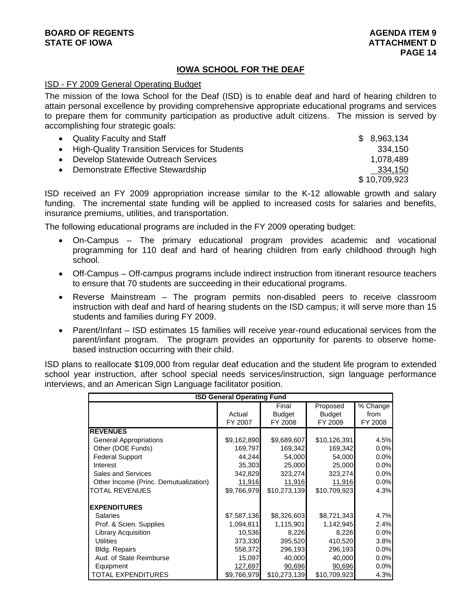## **BOARD OF REGENTS** AGENERATION OF REGENTS **STATE OF IOWA ATTACHMENT D**

## **IOWA SCHOOL FOR THE DEAF**

#### ISD - FY 2009 General Operating Budget

The mission of the Iowa School for the Deaf (ISD) is to enable deaf and hard of hearing children to attain personal excellence by providing comprehensive appropriate educational programs and services to prepare them for community participation as productive adult citizens. The mission is served by accomplishing four strategic goals:

| • Quality Faculty and Staff                     | \$8,963,134  |
|-------------------------------------------------|--------------|
| • High-Quality Transition Services for Students | 334.150      |
| Develop Statewide Outreach Services             | 1,078,489    |
| Demonstrate Effective Stewardship<br>$\bullet$  | 334,150      |
|                                                 | \$10,709,923 |

ISD received an FY 2009 appropriation increase similar to the K-12 allowable growth and salary funding. The incremental state funding will be applied to increased costs for salaries and benefits, insurance premiums, utilities, and transportation.

The following educational programs are included in the FY 2009 operating budget:

- On-Campus The primary educational program provides academic and vocational programming for 110 deaf and hard of hearing children from early childhood through high school.
- Off-Campus Off-campus programs include indirect instruction from itinerant resource teachers to ensure that 70 students are succeeding in their educational programs.
- Reverse Mainstream The program permits non-disabled peers to receive classroom instruction with deaf and hard of hearing students on the ISD campus; it will serve more than 15 students and families during FY 2009.
- Parent/Infant ISD estimates 15 families will receive year-round educational services from the parent/infant program. The program provides an opportunity for parents to observe homebased instruction occurring with their child.

ISD plans to reallocate \$109,000 from regular deaf education and the student life program to extended school year instruction, after school special needs services/instruction, sign language performance interviews, and an American Sign Language facilitator position.

| <b>ISD General Operating Fund</b>     |             |               |               |          |  |  |
|---------------------------------------|-------------|---------------|---------------|----------|--|--|
|                                       |             | Final         | Proposed      | % Change |  |  |
|                                       | Actual      | <b>Budget</b> | <b>Budget</b> | from     |  |  |
|                                       | FY 2007     | FY 2008       | FY 2009       | FY 2008  |  |  |
| <b>REVENUES</b>                       |             |               |               |          |  |  |
| <b>General Appropriations</b>         | \$9,162,890 | \$9,689,607   | \$10,126,391  | 4.5%     |  |  |
| Other (DOE Funds)                     | 169,797     | 169,342       | 169,342       | 0.0%     |  |  |
| <b>Federal Support</b>                | 44,244      | 54,000        | 54,000        | 0.0%     |  |  |
| Interest                              | 35,303      | 25,000        | 25,000        | 0.0%     |  |  |
| <b>Sales and Services</b>             | 342,829     | 323,274       | 323,274       | 0.0%     |  |  |
| Other Income (Princ. Demutualization) | 11,916      | 11,916        | 11,916        | 0.0%     |  |  |
| <b>TOTAL REVENUES</b>                 | \$9,766,979 | \$10,273,139  | \$10,709,923  | 4.3%     |  |  |
| <b>EXPENDITURES</b>                   |             |               |               |          |  |  |
| <b>Salaries</b>                       | \$7,587,136 | \$8,326,603   | \$8,721,343   | 4.7%     |  |  |
| Prof. & Scien. Supplies               | 1,094,811   | 1,115,901     | 1,142,945     | 2.4%     |  |  |
| Library Acquisition                   | 10,536      | 8,226         | 8,226         | 0.0%     |  |  |
| <b>Utilities</b>                      | 373,330     | 395,520       | 410,520       | 3.8%     |  |  |
| <b>Bldg. Repairs</b>                  | 558,372     | 296,193       | 296,193       | 0.0%     |  |  |
| Aud. of State Reimburse               | 15,097      | 40,000        | 40,000        | 0.0%     |  |  |
| Equipment                             | 127,697     | 90,696        | 90,696        | 0.0%     |  |  |
| <b>TOTAL EXPENDITURES</b>             | \$9,766,979 | \$10,273,139  | \$10,709,923  | 4.3%     |  |  |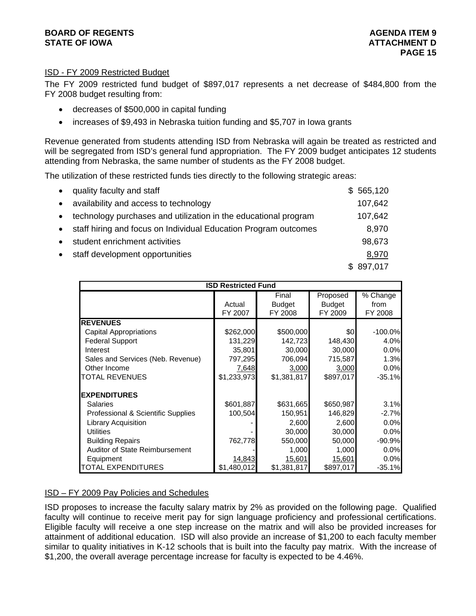## **BOARD OF REGENTS** AGENERATION OF REGENTS AGENERATION OF REGENTS AGENERATION OF REGENTS AGENERATION OF REGENTS AGENERATION OF REGENTS AGENERATION OF REGENTS AGENERATION OF REGENTS AGENERATION OF REGENTS AGENERATION OF REGE **STATE OF IOWA ATTACHMENT D**

## ISD - FY 2009 Restricted Budget

The FY 2009 restricted fund budget of \$897,017 represents a net decrease of \$484,800 from the FY 2008 budget resulting from:

- decreases of \$500,000 in capital funding
- increases of \$9,493 in Nebraska tuition funding and \$5,707 in Iowa grants

Revenue generated from students attending ISD from Nebraska will again be treated as restricted and will be segregated from ISD's general fund appropriation. The FY 2009 budget anticipates 12 students attending from Nebraska, the same number of students as the FY 2008 budget.

The utilization of these restricted funds ties directly to the following strategic areas:

| quality faculty and staff                                       | \$565,120 |
|-----------------------------------------------------------------|-----------|
| availability and access to technology                           | 107,642   |
| technology purchases and utilization in the educational program | 107,642   |
| staff hiring and focus on Individual Education Program outcomes | 8,970     |
| student enrichment activities                                   | 98,673    |
| staff development opportunities                                 | 8,970     |
|                                                                 | \$897,017 |

|                                       |             |               |               | <b>ISD Restricted Fund</b> |  |  |  |  |  |  |  |  |  |
|---------------------------------------|-------------|---------------|---------------|----------------------------|--|--|--|--|--|--|--|--|--|
|                                       |             | Final         | Proposed      | % Change                   |  |  |  |  |  |  |  |  |  |
|                                       | Actual      | <b>Budget</b> | <b>Budget</b> | from                       |  |  |  |  |  |  |  |  |  |
|                                       | FY 2007     | FY 2008       | FY 2009       | FY 2008                    |  |  |  |  |  |  |  |  |  |
| <b>REVENUES</b>                       |             |               |               |                            |  |  |  |  |  |  |  |  |  |
| <b>Capital Appropriations</b>         | \$262,000   | \$500,000     | \$0           | $-100.0%$                  |  |  |  |  |  |  |  |  |  |
| <b>Federal Support</b>                | 131,229     | 142,723       | 148,430       | 4.0%                       |  |  |  |  |  |  |  |  |  |
| Interest                              | 35,801      | 30,000        | 30,000        | 0.0%                       |  |  |  |  |  |  |  |  |  |
| Sales and Services (Neb. Revenue)     | 797,295     | 706,094       | 715,587       | 1.3%                       |  |  |  |  |  |  |  |  |  |
| Other Income                          | 7,648       | 3,000         | 3,000         | 0.0%                       |  |  |  |  |  |  |  |  |  |
| TOTAL REVENUES                        | \$1,233,973 | \$1,381,817   | \$897,017     | $-35.1%$                   |  |  |  |  |  |  |  |  |  |
| <b>EXPENDITURES</b>                   |             |               |               |                            |  |  |  |  |  |  |  |  |  |
| <b>Salaries</b>                       | \$601,887   | \$631,665     | \$650,987     | 3.1%                       |  |  |  |  |  |  |  |  |  |
| Professional & Scientific Supplies    | 100,504     | 150,951       | 146,829       | $-2.7%$                    |  |  |  |  |  |  |  |  |  |
| <b>Library Acquisition</b>            |             | 2,600         | 2,600         | 0.0%                       |  |  |  |  |  |  |  |  |  |
| <b>Utilities</b>                      |             | 30,000        | 30,000        | 0.0%                       |  |  |  |  |  |  |  |  |  |
| <b>Building Repairs</b>               | 762,778     | 550,000       | 50,000        | $-90.9%$                   |  |  |  |  |  |  |  |  |  |
| <b>Auditor of State Reimbursement</b> |             | 1,000         | 1,000         | 0.0%                       |  |  |  |  |  |  |  |  |  |
| Equipment                             | 14,843      | 15,601        | 15,601        | 0.0%                       |  |  |  |  |  |  |  |  |  |
| TOTAL EXPENDITURES                    | \$1,480,012 | \$1,381,817   | \$897,017     | $-35.1%$                   |  |  |  |  |  |  |  |  |  |

#### ISD – FY 2009 Pay Policies and Schedules

ISD proposes to increase the faculty salary matrix by 2% as provided on the following page. Qualified faculty will continue to receive merit pay for sign language proficiency and professional certifications. Eligible faculty will receive a one step increase on the matrix and will also be provided increases for attainment of additional education. ISD will also provide an increase of \$1,200 to each faculty member similar to quality initiatives in K-12 schools that is built into the faculty pay matrix. With the increase of \$1,200, the overall average percentage increase for faculty is expected to be 4.46%.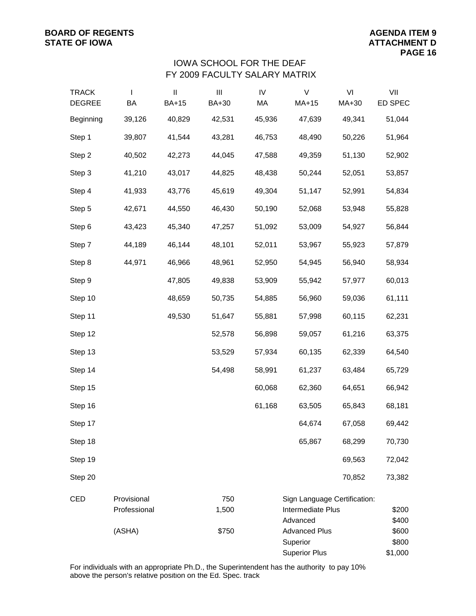## FY 2009 FACULTY SALARY MATRIX IOWA SCHOOL FOR THE DEAF

| <b>TRACK</b><br><b>DEGREE</b> | $\mathbf{I}$<br>BA          | $\sf II$<br><b>BA+15</b> | $\mathbf{III}$<br>BA+30 | ${\sf IV}$<br>МA | V<br>$MA+15$                                                  | VI<br>MA+30 | VII<br>ED SPEC            |
|-------------------------------|-----------------------------|--------------------------|-------------------------|------------------|---------------------------------------------------------------|-------------|---------------------------|
| Beginning                     | 39,126                      | 40,829                   | 42,531                  | 45,936           | 47,639                                                        | 49,341      | 51,044                    |
| Step 1                        | 39,807                      | 41,544                   | 43,281                  | 46,753           | 48,490                                                        | 50,226      | 51,964                    |
| Step 2                        | 40,502                      | 42,273                   | 44,045                  | 47,588           | 49,359                                                        | 51,130      | 52,902                    |
| Step 3                        | 41,210                      | 43,017                   | 44,825                  | 48,438           | 50,244                                                        | 52,051      | 53,857                    |
| Step 4                        | 41,933                      | 43,776                   | 45,619                  | 49,304           | 51,147                                                        | 52,991      | 54,834                    |
| Step 5                        | 42,671                      | 44,550                   | 46,430                  | 50,190           | 52,068                                                        | 53,948      | 55,828                    |
| Step 6                        | 43,423                      | 45,340                   | 47,257                  | 51,092           | 53,009                                                        | 54,927      | 56,844                    |
| Step 7                        | 44,189                      | 46,144                   | 48,101                  | 52,011           | 53,967                                                        | 55,923      | 57,879                    |
| Step 8                        | 44,971                      | 46,966                   | 48,961                  | 52,950           | 54,945                                                        | 56,940      | 58,934                    |
| Step 9                        |                             | 47,805                   | 49,838                  | 53,909           | 55,942                                                        | 57,977      | 60,013                    |
| Step 10                       |                             | 48,659                   | 50,735                  | 54,885           | 56,960                                                        | 59,036      | 61,111                    |
| Step 11                       |                             | 49,530                   | 51,647                  | 55,881           | 57,998                                                        | 60,115      | 62,231                    |
| Step 12                       |                             |                          | 52,578                  | 56,898           | 59,057                                                        | 61,216      | 63,375                    |
| Step 13                       |                             |                          | 53,529                  | 57,934           | 60,135                                                        | 62,339      | 64,540                    |
| Step 14                       |                             |                          | 54,498                  | 58,991           | 61,237                                                        | 63,484      | 65,729                    |
| Step 15                       |                             |                          |                         | 60,068           | 62,360                                                        | 64,651      | 66,942                    |
| Step 16                       |                             |                          |                         | 61,168           | 63,505                                                        | 65,843      | 68,181                    |
| Step 17                       |                             |                          |                         |                  | 64,674                                                        | 67,058      | 69,442                    |
| Step 18                       |                             |                          |                         |                  | 65,867                                                        | 68,299      | 70,730                    |
| Step 19                       |                             |                          |                         |                  |                                                               | 69,563      | 72,042                    |
| Step 20                       |                             |                          |                         |                  |                                                               | 70,852      | 73,382                    |
| CED                           | Provisional<br>Professional |                          | 750<br>1,500            |                  | Sign Language Certification:<br>Intermediate Plus<br>Advanced |             | \$200<br>\$400            |
|                               | (ASHA)                      |                          | \$750                   |                  | <b>Advanced Plus</b><br>Superior<br><b>Superior Plus</b>      |             | \$600<br>\$800<br>\$1,000 |

For individuals with an appropriate Ph.D., the Superintendent has the authority to pay 10% above the person's relative position on the Ed. Spec. track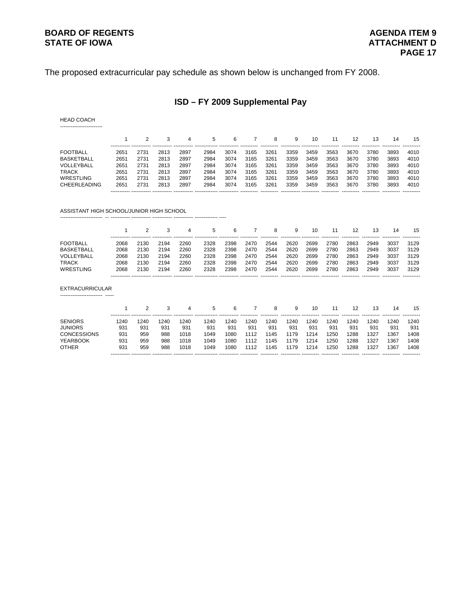## **BOARD OF REGENTS AGENDA ITEM 9**

The proposed extracurricular pay schedule as shown below is unchanged from FY 2008.

## **ISD – FY 2009 Supplemental Pay**

HEAD COACH ------------------------

|                     |      |      |      | 4    | 5    | 6    |      | 8    | 9    | 10   | 11   | 12   | 13   | 14   | 15                    |
|---------------------|------|------|------|------|------|------|------|------|------|------|------|------|------|------|-----------------------|
| <b>FOOTBALL</b>     | 2651 | 2731 | 2813 | 2897 | 2984 | 3074 | 3165 | 3261 | 3359 | 3459 | 3563 | 3670 | 3780 | 3893 | 4010                  |
| <b>BASKETBALL</b>   | 2651 | 2731 | 2813 | 2897 | 2984 | 3074 | 3165 | 3261 | 3359 | 3459 | 3563 | 3670 | 3780 | 3893 | 4010                  |
| VOLLEYBALL          | 2651 | 2731 | 2813 | 2897 | 2984 | 3074 | 3165 | 3261 | 3359 | 3459 | 3563 | 3670 | 3780 | 3893 | 4010                  |
| <b>TRACK</b>        | 2651 | 2731 | 2813 | 2897 | 2984 | 3074 | 3165 | 3261 | 3359 | 3459 | 3563 | 3670 | 3780 | 3893 | 4010                  |
| WRESTLING           | 2651 | 2731 | 2813 | 2897 | 2984 | 3074 | 3165 | 3261 | 3359 | 3459 | 3563 | 3670 | 3780 | 3893 | 4010                  |
| <b>CHEERLEADING</b> | 2651 | 2731 | 2813 | 2897 | 2984 | 3074 | 3165 | 3261 | 3359 | 3459 | 3563 | 3670 | 3780 | 3893 | 4010                  |
|                     |      |      |      |      |      |      |      |      |      |      |      |      |      |      | ----------- --------- |

ASSISTANT HIGH SCHOOL/JUNIOR HIGH SCHOOL

------------------------ -- ----------- ----------- ----------- ----------- ------------- ----

|                 |      |      | ----------- ----------- | 4    | 5    | 6    |      | 8    | 9    |      |             | 12   | 13   | 14   | 15   |
|-----------------|------|------|-------------------------|------|------|------|------|------|------|------|-------------|------|------|------|------|
| <b>FOOTBALL</b> | 2068 | 2130 | 2194                    | 2260 | 2328 | 2398 | 2470 | 2544 | 2620 | 2699 | 2780        | 2863 | 2949 | 3037 | 3129 |
| BASKETBALL      | 2068 | 2130 | 2194                    | 2260 | 2328 | 2398 | 2470 | 2544 | 2620 | 2699 | 2780        | 2863 | 2949 | 3037 | 3129 |
| VOLLEYBALI      | 2068 | 2130 | 2194                    | 2260 | 2328 | 2398 | 2470 | 2544 | 2620 | 2699 | 2780        | 2863 | 2949 | 3037 | 3129 |
| TRACK           | 2068 | 2130 | 2194                    | 2260 | 2328 | 2398 | 2470 | 2544 | 2620 | 2699 | 2780        | 2863 | 2949 | 3037 | 3129 |
| WRESTLING       | 2068 | 2130 | 2194                    | 2260 | 2328 | 2398 | 2470 | 2544 | 2620 | 2699 | 2780        | 2863 | 2949 | 3037 | 3129 |
|                 |      |      |                         |      |      |      |      |      |      |      | ----------- |      |      |      |      |

EXTRACURRICULAR ------------------------ -----

|                    |      |      |      | 4    | 5.   | 6    |      | 8    | 9    | 10   |             | 12   | 13   | 14                     | 15          |
|--------------------|------|------|------|------|------|------|------|------|------|------|-------------|------|------|------------------------|-------------|
| <b>SENIORS</b>     | 1240 | 1240 | '240 | 1240 | 1240 | 1240 | 1240 | 1240 | 1240 | 1240 | '240        | 1240 | 1240 | 1240                   | 1240        |
| <b>JUNIORS</b>     | 931  | 931  | 931  | 931  | 931  | 931  | 931  | 931  | 931  | 931  | 931         | 931  | 931  | 931                    | 931         |
| <b>CONCESSIONS</b> | 931  | 959  | 988  | 1018 | 1049 | 1080 | 1112 | 1145 | 1179 | 1214 | 250         | 1288 | 1327 | 1367                   | 1408        |
| <b>YEARBOOK</b>    | 931  | 959  | 988  | 1018 | 1049 | 1080 | 1112 | 1145 | 1179 | 1214 | 250         | 1288 | 1327 | 1367                   | 1408        |
| <b>OTHER</b>       | 931  | 959  | 988  | 1018 | 1049 | 1080 | 1112 | 1145 | 1179 | 1214 | 1250        | 1288 | 1327 | 1367                   | 1408        |
|                    |      |      |      |      |      |      |      |      |      |      | ----------- |      |      | ----------- ---------- | ----------- |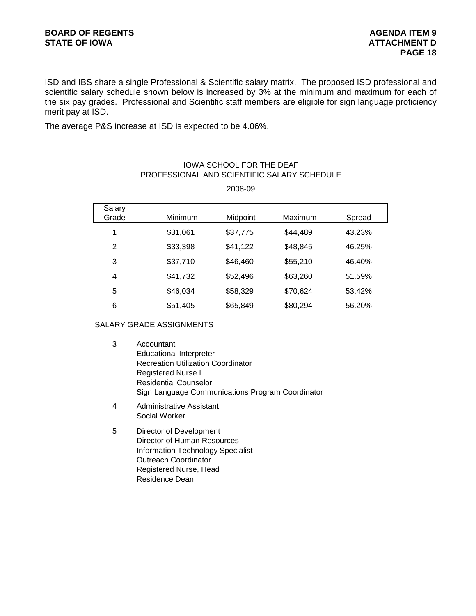ISD and IBS share a single Professional & Scientific salary matrix. The proposed ISD professional and scientific salary schedule shown below is increased by 3% at the minimum and maximum for each of the six pay grades. Professional and Scientific staff members are eligible for sign language proficiency merit pay at ISD.

The average P&S increase at ISD is expected to be 4.06%.

## Salary Grade Minimum Midpoint Maximum Spread 1 \$31,061 \$37,775 \$44,489 43.23% 2 \$33,398 \$41,122 \$48,845 46.25% 3 \$37,710 \$46,460 \$55,210 46.40% 4 \$41,732 \$52,496 \$63,260 51.59% 5 \$46,034 \$58,329 \$70,624 53.42% 6 \$51,405 \$65,849 \$80,294 56.20%

## PROFESSIONAL AND SCIENTIFIC SALARY SCHEDULE IOWA SCHOOL FOR THE DEAF

2008-09

#### SALARY GRADE ASSIGNMENTS

- 3 Accountant Educational Interpreter Recreation Utilization Coordinator Registered Nurse I Residential Counselor Sign Language Communications Program Coordinator
- 4 Administrative Assistant Social Worker
- 5 Director of Development Director of Human Resources Information Technology Specialist Outreach Coordinator Registered Nurse, Head Residence Dean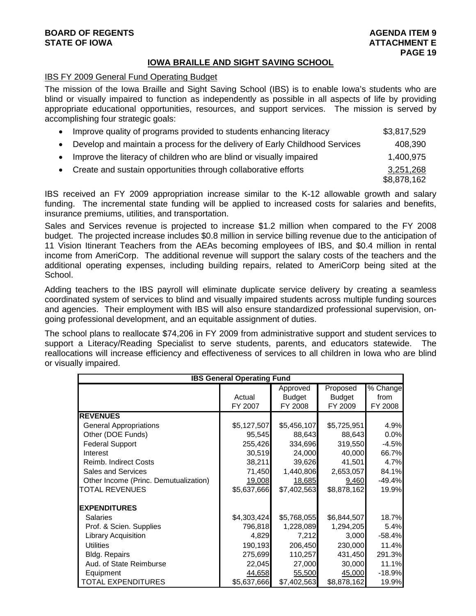## **BOARD OF REGENTS AGENTS** AGENDA ITEM 9 **STATE OF IOWA ATTACHMENT E**

## **IOWA BRAILLE AND SIGHT SAVING SCHOOL**

## IBS FY 2009 General Fund Operating Budget

The mission of the Iowa Braille and Sight Saving School (IBS) is to enable Iowa's students who are blind or visually impaired to function as independently as possible in all aspects of life by providing appropriate educational opportunities, resources, and support services. The mission is served by accomplishing four strategic goals:

| Improve quality of programs provided to students enhancing literacy         | \$3,817,529 |
|-----------------------------------------------------------------------------|-------------|
| Develop and maintain a process for the delivery of Early Childhood Services | 408,390     |
| Improve the literacy of children who are blind or visually impaired         | 1,400,975   |
| • Create and sustain opportunities through collaborative efforts            | 3,251,268   |
|                                                                             | \$8,878,162 |

IBS received an FY 2009 appropriation increase similar to the K-12 allowable growth and salary funding. The incremental state funding will be applied to increased costs for salaries and benefits, insurance premiums, utilities, and transportation.

Sales and Services revenue is projected to increase \$1.2 million when compared to the FY 2008 budget. The projected increase includes \$0.8 million in service billing revenue due to the anticipation of 11 Vision Itinerant Teachers from the AEAs becoming employees of IBS, and \$0.4 million in rental income from AmeriCorp. The additional revenue will support the salary costs of the teachers and the additional operating expenses, including building repairs, related to AmeriCorp being sited at the School.

Adding teachers to the IBS payroll will eliminate duplicate service delivery by creating a seamless coordinated system of services to blind and visually impaired students across multiple funding sources and agencies. Their employment with IBS will also ensure standardized professional supervision, ongoing professional development, and an equitable assignment of duties.

The school plans to reallocate \$74,206 in FY 2009 from administrative support and student services to support a Literacy/Reading Specialist to serve students, parents, and educators statewide. The reallocations will increase efficiency and effectiveness of services to all children in Iowa who are blind or visually impaired.

|                                       | <b>IBS General Operating Fund</b> |                               |                                      |                                           |
|---------------------------------------|-----------------------------------|-------------------------------|--------------------------------------|-------------------------------------------|
|                                       | Actual<br>FY 2007                 | Approved<br>Budget<br>FY 2008 | Proposed<br><b>Budget</b><br>FY 2009 | $\overline{\%}$ Change<br>from<br>FY 2008 |
| <b>REVENUES</b>                       |                                   |                               |                                      |                                           |
| <b>General Appropriations</b>         | \$5,127,507                       | \$5,456,107                   | \$5,725,951                          | 4.9%                                      |
| Other (DOE Funds)                     | 95,545                            | 88,643                        | 88,643                               | 0.0%                                      |
| <b>Federal Support</b>                | 255,426                           | 334,696                       | 319,550                              | $-4.5%$                                   |
| Interest                              | 30,519                            | 24,000                        | 40,000                               | 66.7%                                     |
| <b>Reimb. Indirect Costs</b>          | 38,211                            | 39,626                        | 41,501                               | 4.7%                                      |
| Sales and Services                    | 71,450                            | 1,440,806                     | 2,653,057                            | 84.1%                                     |
| Other Income (Princ. Demutualization) | 19,008                            | 18,685                        | 9,460                                | $-49.4%$                                  |
| <b>TOTAL REVENUES</b>                 | \$5,637,666                       | \$7,402,563                   | \$8,878,162                          | 19.9%                                     |
| <b>EXPENDITURES</b>                   |                                   |                               |                                      |                                           |
| <b>Salaries</b>                       | \$4,303,424                       | \$5,768,055                   | \$6,844,507                          | 18.7%                                     |
| Prof. & Scien. Supplies               | 796,818                           | 1,228,089                     | 1,294,205                            | 5.4%                                      |
| Library Acquisition                   | 4,829                             | 7,212                         | 3,000                                | $-58.4%$                                  |
| <b>Utilities</b>                      | 190,193                           | 206,450                       | 230,000                              | 11.4%                                     |
| Bldg. Repairs                         | 275,699                           | 110,257                       | 431,450                              | 291.3%                                    |
| Aud. of State Reimburse               | 22,045                            | 27,000                        | 30,000                               | 11.1%                                     |
| Equipment                             | 44,658                            | 55,500                        | 45,000                               | $-18.9%$                                  |
| <b>TOTAL EXPENDITURES</b>             | \$5,637,666                       | \$7,402,563                   | \$8,878,162                          | 19.9%                                     |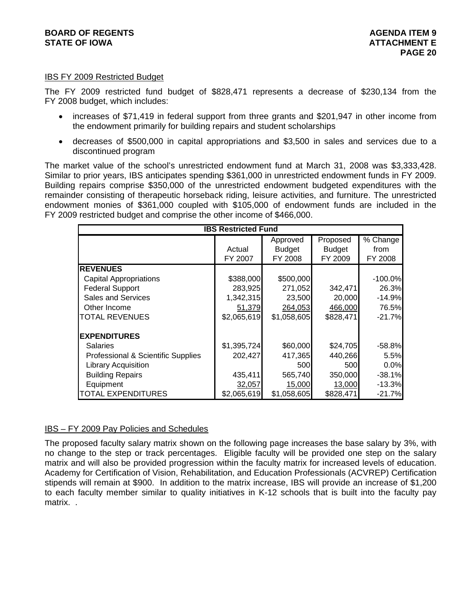#### IBS FY 2009 Restricted Budget

The FY 2009 restricted fund budget of \$828,471 represents a decrease of \$230,134 from the FY 2008 budget, which includes:

- increases of \$71,419 in federal support from three grants and \$201,947 in other income from the endowment primarily for building repairs and student scholarships
- decreases of \$500,000 in capital appropriations and \$3,500 in sales and services due to a discontinued program

The market value of the school's unrestricted endowment fund at March 31, 2008 was \$3,333,428. Similar to prior years, IBS anticipates spending \$361,000 in unrestricted endowment funds in FY 2009. Building repairs comprise \$350,000 of the unrestricted endowment budgeted expenditures with the remainder consisting of therapeutic horseback riding, leisure activities, and furniture. The unrestricted endowment monies of \$361,000 coupled with \$105,000 of endowment funds are included in the FY 2009 restricted budget and comprise the other income of \$466,000.

| <b>IBS Restricted Fund</b>         |             |               |               |           |  |  |  |  |  |
|------------------------------------|-------------|---------------|---------------|-----------|--|--|--|--|--|
|                                    |             | Approved      | Proposed      | % Change  |  |  |  |  |  |
|                                    | Actual      | <b>Budget</b> | <b>Budget</b> | from      |  |  |  |  |  |
|                                    | FY 2007     | FY 2008       | FY 2009       | FY 2008   |  |  |  |  |  |
| <b>REVENUES</b>                    |             |               |               |           |  |  |  |  |  |
| <b>Capital Appropriations</b>      | \$388,000   | \$500,000     |               | $-100.0%$ |  |  |  |  |  |
| <b>Federal Support</b>             | 283,925     | 271,052       | 342,471       | 26.3%     |  |  |  |  |  |
| <b>Sales and Services</b>          | 1,342,315   | 23,500        | 20,000        | $-14.9%$  |  |  |  |  |  |
| Other Income                       | 51,379      | 264,053       | 466,000       | 76.5%     |  |  |  |  |  |
| <b>TOTAL REVENUES</b>              | \$2,065,619 | \$1,058,605   | \$828,471     | $-21.7%$  |  |  |  |  |  |
| <b>EXPENDITURES</b>                |             |               |               |           |  |  |  |  |  |
| <b>Salaries</b>                    | \$1,395,724 | \$60,000      | \$24,705      | $-58.8%$  |  |  |  |  |  |
| Professional & Scientific Supplies | 202,427     | 417,365       | 440,266       | 5.5%      |  |  |  |  |  |
| <b>Library Acquisition</b>         |             | 500           | 500l          | $0.0\%$   |  |  |  |  |  |
| <b>Building Repairs</b>            | 435,411     | 565,740       | 350,000       | $-38.1%$  |  |  |  |  |  |
| Equipment                          | 32,057      | 15,000        | 13,000        | $-13.3%$  |  |  |  |  |  |
| <b>TOTAL EXPENDITURES</b>          | \$2,065,619 | \$1,058,605   | \$828,471     | $-21.7%$  |  |  |  |  |  |

#### IBS – FY 2009 Pay Policies and Schedules

The proposed faculty salary matrix shown on the following page increases the base salary by 3%, with no change to the step or track percentages. Eligible faculty will be provided one step on the salary matrix and will also be provided progression within the faculty matrix for increased levels of education. Academy for Certification of Vision, Rehabilitation, and Education Professionals (ACVREP) Certification stipends will remain at \$900. In addition to the matrix increase, IBS will provide an increase of \$1,200 to each faculty member similar to quality initiatives in K-12 schools that is built into the faculty pay matrix. .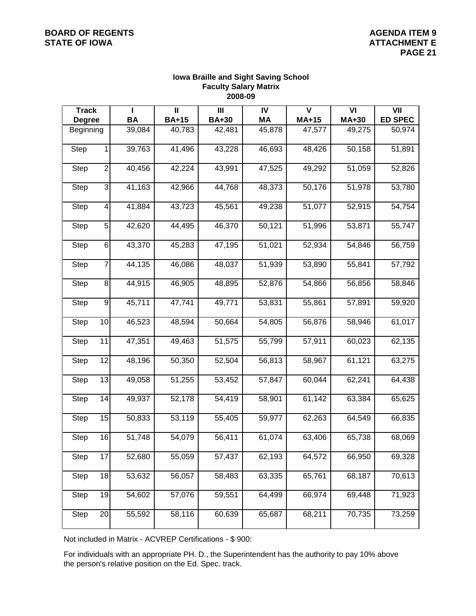## **BOARD OF REGENTS** AGENDA ITEM 9

#### **Iowa Braille and Sight Saving School Faculty Salary Matrix 2008-09**

| <b>Track</b>  |                          | т         | $\mathbf{I}$ | $\mathbf{III}$ | IV        | $\mathbf v$ | VI     | VII            |
|---------------|--------------------------|-----------|--------------|----------------|-----------|-------------|--------|----------------|
| <b>Degree</b> |                          | <b>BA</b> | <b>BA+15</b> | <b>BA+30</b>   | <b>MA</b> | MA+15       | MA+30  | <b>ED SPEC</b> |
| Beginning     |                          | 39,084    | 40,783       | 42,481         | 45,878    | 47,577      | 49,275 | 50,974         |
| Step          | 1                        | 39,763    | 41,496       | 43,228         | 46,693    | 48,426      | 50,158 | 51,891         |
| Step          | $\overline{2}$           | 40,456    | 42,224       | 43,991         | 47,525    | 49,292      | 51,059 | 52,826         |
| Step          | $\mathbf{3}$             | 41,163    | 42,966       | 44,768         | 48,373    | 50,176      | 51,978 | 53,780         |
| <b>Step</b>   | $\overline{\mathcal{L}}$ | 41,884    | 43,723       | 45,561         | 49,238    | 51,077      | 52,915 | 54,754         |
| Step          | $\overline{5}$           | 42,620    | 44,495       | 46,370         | 50,121    | 51,996      | 53,871 | 55,747         |
| <b>Step</b>   | $\,$ 6 $\,$              | 43,370    | 45,283       | 47,195         | 51,021    | 52,934      | 54,846 | 56,759         |
| <b>Step</b>   | $\overline{7}$           | 44,135    | 46,086       | 48,037         | 51,939    | 53,890      | 55,841 | 57,792         |
| Step          | $\bf{8}$                 | 44,915    | 46,905       | 48,895         | 52,876    | 54,866      | 56,856 | 58,846         |
| Step          | $\boldsymbol{9}$         | 45,711    | 47,741       | 49,771         | 53,831    | 55,861      | 57,891 | 59,920         |
| <b>Step</b>   | 10                       | 46,523    | 48,594       | 50,664         | 54,805    | 56,876      | 58,946 | 61,017         |
| Step          | 11                       | 47,351    | 49,463       | 51,575         | 55,799    | 57,911      | 60,023 | 62,135         |
| Step          | 12                       | 48,196    | 50,350       | 52,504         | 56,813    | 58,967      | 61,121 | 63,275         |
| Step          | 13                       | 49,058    | 51,255       | 53,452         | 57,847    | 60,044      | 62,241 | 64,438         |
| <b>Step</b>   | 14                       | 49,937    | 52,178       | 54,419         | 58,901    | 61,142      | 63,384 | 65,625         |
| Step          | 15                       | 50,833    | 53,119       | 55,405         | 59,977    | 62,263      | 64,549 | 66,835         |
| <b>Step</b>   | 16                       | 51,748    | 54,079       | 56,411         | 61,074    | 63,406      | 65,738 | 68,069         |
| <b>Step</b>   | 17                       | 52,680    | 55,059       | 57,437         | 62,193    | 64,572      | 66,950 | 69,328         |
| <b>Step</b>   | 18                       | 53,632    | 56,057       | 58,483         | 63,335    | 65,761      | 68,187 | 70,613         |
| Step          | 19                       | 54,602    | 57,076       | 59,551         | 64,499    | 66,974      | 69,448 | 71,923         |
| Step          | $\overline{20}$          | 55,592    | 58,116       | 60,639         | 65,687    | 68,211      | 70,735 | 73,259         |

Not included in Matrix - ACVREP Certifications - \$ 900:

For individuals with an appropriate PH. D., the Superintendent has the authority to pay 10% above the person's relative position on the Ed. Spec. track.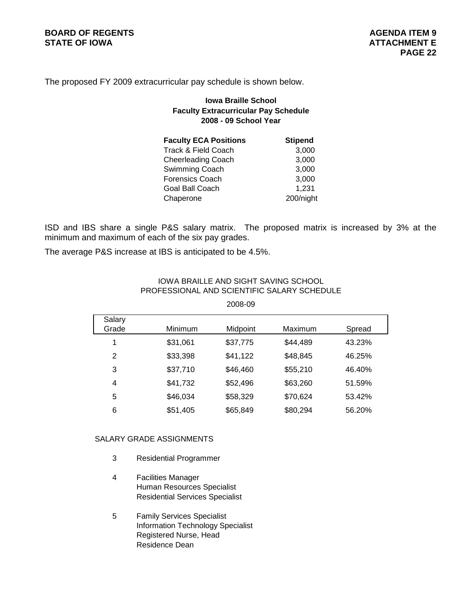The proposed FY 2009 extracurricular pay schedule is shown below.

## **Iowa Braille School Faculty Extracurricular Pay Schedule 2008 - 09 School Year**

| <b>Faculty ECA Positions</b> | <b>Stipend</b> |
|------------------------------|----------------|
| Track & Field Coach          | 3,000          |
| <b>Cheerleading Coach</b>    | 3,000          |
| Swimming Coach               | 3,000          |
| Forensics Coach              | 3,000          |
| Goal Ball Coach              | 1,231          |
| Chaperone                    | 200/night      |

ISD and IBS share a single P&S salary matrix. The proposed matrix is increased by 3% at the minimum and maximum of each of the six pay grades.

The average P&S increase at IBS is anticipated to be 4.5%.

| Salary<br>Grade | <b>Minimum</b> | Midpoint | Maximum  | Spread |
|-----------------|----------------|----------|----------|--------|
| 1               | \$31,061       | \$37,775 | \$44,489 | 43.23% |
| 2               | \$33,398       | \$41,122 | \$48,845 | 46.25% |
| 3               | \$37,710       | \$46,460 | \$55,210 | 46.40% |
| 4               | \$41,732       | \$52,496 | \$63,260 | 51.59% |
| 5               | \$46,034       | \$58,329 | \$70,624 | 53.42% |
| 6               | \$51,405       | \$65,849 | \$80,294 | 56.20% |

IOWA BRAILLE AND SIGHT SAVING SCHOOL PROFESSIONAL AND SCIENTIFIC SALARY SCHEDULE

2008-09

## SALARY GRADE ASSIGNMENTS

- 3 Residential Programmer
- 4 Facilities Manager Human Resources Specialist Residential Services Specialist
- 5 Family Services Specialist Information Technology Specialist Registered Nurse, Head Residence Dean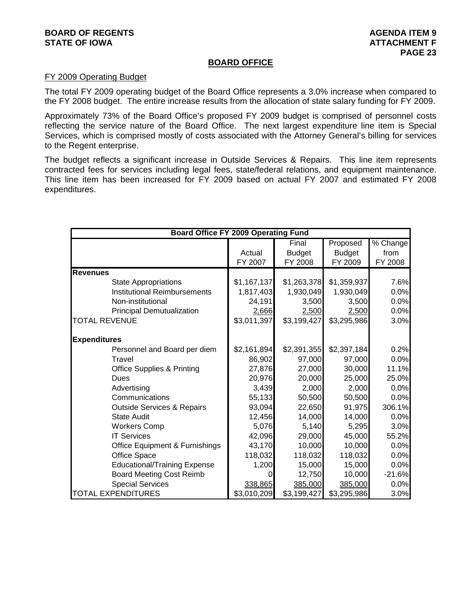#### **BOARD OF REGENTS AGENUS AGENERATION CONSUMING A LIGHT AGENUA ITEM 9 STATE OF IOWA ATTACHMENT F ATTACHMENT F**

#### **BOARD OFFICE**

#### FY 2009 Operating Budget

The total FY 2009 operating budget of the Board Office represents a 3.0% increase when compared to the FY 2008 budget. The entire increase results from the allocation of state salary funding for FY 2009.

Approximately 73% of the Board Office's proposed FY 2009 budget is comprised of personnel costs reflecting the service nature of the Board Office. The next largest expenditure line item is Special Services, which is comprised mostly of costs associated with the Attorney General's billing for services to the Regent enterprise.

The budget reflects a significant increase in Outside Services & Repairs. This line item represents contracted fees for services including legal fees, state/federal relations, and equipment maintenance. This line item has been increased for FY 2009 based on actual FY 2007 and estimated FY 2008 expenditures.

| <b>Board Office FY 2009 Operating Fund</b> |             |               |               |                        |
|--------------------------------------------|-------------|---------------|---------------|------------------------|
|                                            |             | Final         | Proposed      | $\overline{\%}$ Change |
|                                            | Actual      | <b>Budget</b> | <b>Budget</b> | from                   |
|                                            | FY 2007     | FY 2008       | FY 2009       | FY 2008                |
| <b>Revenues</b>                            |             |               |               |                        |
| <b>State Appropriations</b>                | \$1,167,137 | \$1,263,378   | \$1,359,937   | 7.6%                   |
| <b>Institutional Reimbursements</b>        | 1,817,403   | 1,930,049     | 1,930,049     | 0.0%                   |
| Non-institutional                          | 24,191      | 3,500         | 3,500         | 0.0%                   |
| <b>Principal Demutualization</b>           | 2,666       | 2,500         | 2,500         | 0.0%                   |
| <b>TOTAL REVENUE</b>                       | \$3,011,397 | \$3,199,427   | \$3,295,986   | 3.0%                   |
| <b>Expenditures</b>                        |             |               |               |                        |
| Personnel and Board per diem               | \$2,161,894 | \$2,391,355   | \$2,397,184   | 0.2%                   |
| Travel                                     | 86,902      | 97,000        | 97,000        | 0.0%                   |
| <b>Office Supplies &amp; Printing</b>      | 27,876      | 27,000        | 30,000        | 11.1%                  |
| Dues                                       | 20,976      | 20,000        | 25,000        | 25.0%                  |
| Advertising                                | 3,439       | 2,000         | 2,000         | 0.0%                   |
| Communications                             | 55,133      | 50,500        | 50,500        | 0.0%                   |
| <b>Outside Services &amp; Repairs</b>      | 93,094      | 22,650        | 91,975        | 306.1%                 |
| <b>State Audit</b>                         | 12,456      | 14,000        | 14,000        | 0.0%                   |
| <b>Workers Comp</b>                        | 5,076       | 5,140         | 5,295         | 3.0%                   |
| <b>IT Services</b>                         | 42,096      | 29,000        | 45,000        | 55.2%                  |
| <b>Office Equipment &amp; Furnishings</b>  | 43,170      | 10,000        | 10,000        | 0.0%                   |
| Office Space                               | 118,032     | 118,032       | 118,032       | 0.0%                   |
| <b>Educational/Training Expense</b>        | 1,200       | 15,000        | 15,000        | 0.0%                   |
| <b>Board Meeting Cost Reimb</b>            | O           | 12,750        | 10,000        | $-21.6%$               |
| <b>Special Services</b>                    | 338,865     | 385,000       | 385,000       | 0.0%                   |
| <b>TOTAL EXPENDITURES</b>                  | \$3,010,209 | \$3,199,427   | \$3,295,986   | 3.0%                   |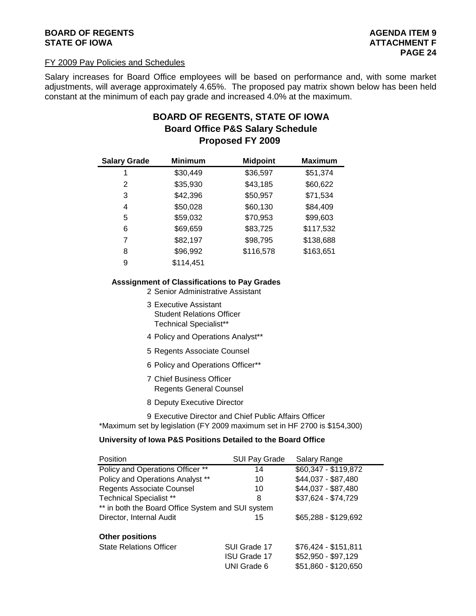## **BOARD OF REGENTS AGENTS** AGENDA ITEM 9 **STATE OF IOWA** AND **ATTACHMENT F ATTACHMENT F**

#### FY 2009 Pay Policies and Schedules

Salary increases for Board Office employees will be based on performance and, with some market adjustments, will average approximately 4.65%. The proposed pay matrix shown below has been held constant at the minimum of each pay grade and increased 4.0% at the maximum.

## **BOARD OF REGENTS, STATE OF IOWA Proposed FY 2009 Board Office P&S Salary Schedule**

| <b>Salary Grade</b> | <b>Minimum</b> | <b>Midpoint</b> | <b>Maximum</b> |
|---------------------|----------------|-----------------|----------------|
| 1                   | \$30,449       | \$36,597        | \$51,374       |
| 2                   | \$35,930       | \$43,185        | \$60,622       |
| 3                   | \$42,396       | \$50,957        | \$71,534       |
| 4                   | \$50,028       | \$60,130        | \$84,409       |
| 5                   | \$59,032       | \$70,953        | \$99,603       |
| 6                   | \$69,659       | \$83,725        | \$117,532      |
| 7                   | \$82,197       | \$98,795        | \$138,688      |
| 8                   | \$96,992       | \$116,578       | \$163,651      |
| 9                   | \$114,451      |                 |                |

#### **Asssignment of Classifications to Pay Grades**

2 Senior Administrative Assistant

- 3 Executive Assistant Student Relations Officer Technical Specialist\*\*
- 4 Policy and Operations Analyst\*\*
- 5 Regents Associate Counsel
- 6 Policy and Operations Officer\*\*
- 7 Chief Business Officer Regents General Counsel
- 8 Deputy Executive Director
- 9 Executive Director and Chief Public Affairs Officer

\*Maximum set by legislation (FY 2009 maximum set in HF 2700 is \$154,300)

#### **University of Iowa P&S Positions Detailed to the Board Office**

| Position                                          | SUI Pay Grade       | Salary Range         |  |  |  |  |
|---------------------------------------------------|---------------------|----------------------|--|--|--|--|
| Policy and Operations Officer **                  | 14                  | \$60,347 - \$119,872 |  |  |  |  |
| Policy and Operations Analyst **                  | 10                  | \$44,037 - \$87,480  |  |  |  |  |
| <b>Regents Associate Counsel</b>                  | 10                  | \$44,037 - \$87,480  |  |  |  |  |
| <b>Technical Specialist **</b>                    | 8                   | \$37,624 - \$74,729  |  |  |  |  |
| ** in both the Board Office System and SUI system |                     |                      |  |  |  |  |
| Director, Internal Audit                          | 15                  | \$65,288 - \$129,692 |  |  |  |  |
| <b>Other positions</b>                            |                     |                      |  |  |  |  |
| <b>State Relations Officer</b>                    | SUI Grade 17        | \$76,424 - \$151,811 |  |  |  |  |
|                                                   | <b>ISU Grade 17</b> | \$52,950 - \$97,129  |  |  |  |  |
|                                                   | UNI Grade 6         | \$51,860 - \$120,650 |  |  |  |  |